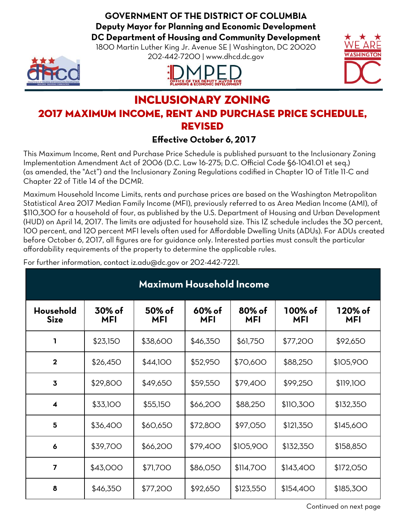**GOVERNMENT OF THE DISTRICT OF COLUMBIA Deputy Mayor for Planning and Economic Development DC Department of Housing and Community Development**

1800 Martin Luther King Jr. Avenue SE | Washington, DC 20020 202-442-7200 | www.dhcd.dc.gov







### Inclusionary zoning 2017 MAXIMUM INCOME, RENT AND PURCHASE PRICE SCHEDULE, Revised

#### **Effective October 6, 2017**

This Maximum Income, Rent and Purchase Price Schedule is published pursuant to the Inclusionary Zoning Implementation Amendment Act of 2006 (D.C. Law 16-275; D.C. Official Code §6-1041.01 et seq.) (as amended, the "Act") and the Inclusionary Zoning Regulations codified in Chapter 10 of Title 11-C and Chapter 22 of Title 14 of the DCMR.

Maximum Household Income Limits, rents and purchase prices are based on the Washington Metropolitan Statistical Area 2017 Median Family Income (MFI), previously referred to as Area Median Income (AMI), of \$110,300 for a household of four, as published by the U.S. Department of Housing and Urban Development (HUD) on April 14, 2017. The limits are adjusted for household size. This IZ schedule includes the 30 percent, 100 percent, and 120 percent MFI levels often used for Affordable Dwelling Units (ADUs). For ADUs created before October 6, 2017, all figures are for guidance only. Interested parties must consult the particular affordability requirements of the property to determine the applicable rules.

For further information, contact iz.adu@dc.gov or 202-442-7221.

| <b>Maximum Household Income</b> |                      |                      |                      |                      |                       |                       |  |  |  |
|---------------------------------|----------------------|----------------------|----------------------|----------------------|-----------------------|-----------------------|--|--|--|
| Household<br><b>Size</b>        | 30% of<br><b>MFI</b> | 50% of<br><b>MFI</b> | 60% of<br><b>MFI</b> | 80% of<br><b>MFI</b> | 100% of<br><b>MFI</b> | 120% of<br><b>MFI</b> |  |  |  |
| ı                               | \$23,150             | \$38,600             | \$46,350             | \$61,750             | \$77,200              | \$92,650              |  |  |  |
| $\mathbf 2$                     | \$26,450             | \$44,100             | \$52,950             | \$70,600             | \$88,250              | \$105,900             |  |  |  |
| $\overline{\mathbf{3}}$         | \$29,800             | \$49,650             | \$59,550             | \$79,400             | \$99,250              | \$119,100             |  |  |  |
| $\overline{\mathbf{4}}$         | \$33,100             | \$55,150             | \$66,200             | \$88,250             | \$110,300             | \$132,350             |  |  |  |
| 5                               | \$36,400             | \$60,650             | \$72,800             | \$97,050             | \$121,350             | \$145,600             |  |  |  |
| 6                               | \$39,700             | \$66,200             | \$79,400             | \$105,900            | \$132,350             | \$158,850             |  |  |  |
| $\overline{7}$                  | \$43,000             | \$71,700             | \$86,050             | \$114,700            | \$143,400             | \$172,050             |  |  |  |
| 8                               | \$46,350             | \$77,200             | \$92,650             | \$123,550            | \$154,400             | \$185,300             |  |  |  |

Continued on next page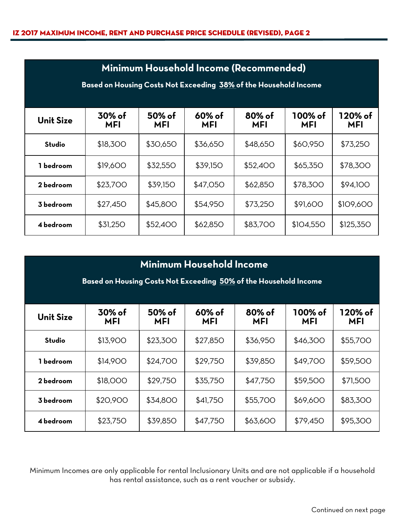| Minimum Household Income (Recommended)<br>Based on Housing Costs Not Exceeding 38% of the Household Income |                      |                         |                      |                      |                       |                       |  |  |
|------------------------------------------------------------------------------------------------------------|----------------------|-------------------------|----------------------|----------------------|-----------------------|-----------------------|--|--|
| <b>Unit Size</b>                                                                                           | 30% of<br><b>MFI</b> | $50\%$ of<br><b>MFI</b> | 60% of<br><b>MFI</b> | 80% of<br><b>MFI</b> | 100% of<br><b>MFI</b> | 120% of<br><b>MFI</b> |  |  |
| Studio                                                                                                     | \$18,300             | \$30,650                | \$36,650             | \$48,650             | \$60,950              | \$73,250              |  |  |
| 1 bedroom                                                                                                  | \$19,600             | \$32,550                | \$39,150             | \$52,400             | \$65,350              | \$78,300              |  |  |
| 2 bedroom                                                                                                  | \$23,700             | \$39,150                | \$47,050             | \$62,850             | \$78,300              | \$94,100              |  |  |
| 3 bedroom                                                                                                  | \$27,450             | \$45,800                | \$54,950             | \$73,250             | \$91,600              | \$109,600             |  |  |
| 4 bedroom                                                                                                  | \$31,250             | \$52,400                | \$62,850             | \$83,700             | \$104,550             | \$125,350             |  |  |

| <b>Minimum Household Income</b><br>Based on Housing Costs Not Exceeding 50% of the Household Income |                                                                                                                             |          |          |          |          |          |  |  |  |  |
|-----------------------------------------------------------------------------------------------------|-----------------------------------------------------------------------------------------------------------------------------|----------|----------|----------|----------|----------|--|--|--|--|
| <b>Unit Size</b>                                                                                    | $60%$ of<br>100% of<br>120% of<br>30% of<br>50% of<br>80% of<br>MFI<br><b>MFI</b><br><b>MFI</b><br><b>MFI</b><br>MFI<br>MFI |          |          |          |          |          |  |  |  |  |
| Studio                                                                                              | \$13,900                                                                                                                    | \$23,300 | \$27,850 | \$36,950 | \$46,300 | \$55,700 |  |  |  |  |
| 1 bedroom                                                                                           | \$14,900                                                                                                                    | \$24,700 | \$29,750 | \$39,850 | \$49,700 | \$59,500 |  |  |  |  |
| 2 bedroom                                                                                           | \$18,000                                                                                                                    | \$29,750 | \$35,750 | \$47,750 | \$59,500 | \$71,500 |  |  |  |  |
| 3 bedroom                                                                                           | \$20,900<br>\$55,700<br>\$69,600<br>\$83,300<br>\$34,800<br>\$41,750                                                        |          |          |          |          |          |  |  |  |  |
| 4 bedroom                                                                                           | \$23,750                                                                                                                    | \$39,850 | \$47,750 | \$63,600 | \$79,450 | \$95,300 |  |  |  |  |

Minimum Incomes are only applicable for rental Inclusionary Units and are not applicable if a household has rental assistance, such as a rent voucher or subsidy.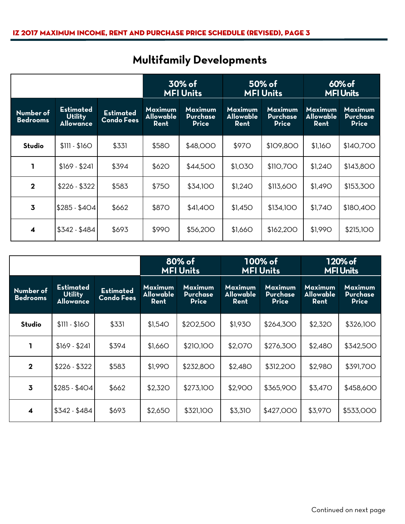|                              |                                                        | 30% of<br><b>MFI Units</b>            |                                            | 50% of<br><b>MFI Units</b>                        |                                            | 60% of<br><b>MFI Units</b>                 |                                     |                                                   |
|------------------------------|--------------------------------------------------------|---------------------------------------|--------------------------------------------|---------------------------------------------------|--------------------------------------------|--------------------------------------------|-------------------------------------|---------------------------------------------------|
| Number of<br><b>Bedrooms</b> | <b>Estimated</b><br><b>Utility</b><br><b>Allowance</b> | <b>Estimated</b><br><b>Condo Fees</b> | <b>Maximum</b><br><b>Allowable</b><br>Rent | <b>Maximum</b><br><b>Purchase</b><br><b>Price</b> | <b>Maximum</b><br><b>Allowable</b><br>Rent | Maximum<br><b>Purchase</b><br><b>Price</b> | Maximum<br><b>Allowable</b><br>Rent | <b>Maximum</b><br><b>Purchase</b><br><b>Price</b> |
| Studio                       | $$111 - $160$                                          | \$331                                 | \$58O                                      | \$48,000                                          | \$970                                      | \$109,800                                  | \$1,160                             | \$140,700                                         |
|                              | $$169 - $241$                                          | \$394                                 | \$62O                                      | \$44,500                                          | \$1,030                                    | \$110,700                                  | \$1,240                             | \$143,800                                         |
| $\overline{2}$               | $$226 - $322$                                          | \$583                                 | \$750                                      | \$34,100                                          | \$1,240                                    | \$113,600                                  | \$1,490                             | \$153,300                                         |
| $\overline{3}$               | $$285 - $404$                                          | \$662                                 | <b>\$870</b>                               | \$41,400                                          | \$1,450                                    | \$134,100                                  | \$1,740                             | \$180,400                                         |
| 4                            | $$342 - $484$                                          | \$693                                 | \$990                                      | \$56,200                                          | \$1,660                                    | \$162,200                                  | \$1,990                             | <b>\$215,100</b>                                  |

# **Multifamily Developments**

|                              |                                                 | 80% of<br><b>MFI Units</b>            |                                            | 100% of<br><b>MFI Units</b>                       |                                            | 120% of<br><b>MFI Units</b>                       |                                            |                                                   |
|------------------------------|-------------------------------------------------|---------------------------------------|--------------------------------------------|---------------------------------------------------|--------------------------------------------|---------------------------------------------------|--------------------------------------------|---------------------------------------------------|
| Number of<br><b>Bedrooms</b> | Estimated<br><b>Utility</b><br><b>Allowance</b> | <b>Estimated</b><br><b>Condo Fees</b> | <b>Maximum</b><br><b>Allowable</b><br>Rent | <b>Maximum</b><br><b>Purchase</b><br><b>Price</b> | <b>Maximum</b><br><b>Allowable</b><br>Rent | <b>Maximum</b><br><b>Purchase</b><br><b>Price</b> | <b>Maximum</b><br><b>Allowable</b><br>Rent | <b>Maximum</b><br><b>Purchase</b><br><b>Price</b> |
| Studio                       | $$111 - $160$                                   | \$331                                 | \$1,540                                    | \$202,500                                         | \$1,930                                    | \$264,300                                         | \$2,320                                    | \$326,100                                         |
| 1                            | $$169 - $241$                                   | \$394                                 | \$1,660                                    | \$210,100                                         | \$2,070                                    | \$276,300                                         | \$2,480                                    | \$342,500                                         |
| $\mathbf 2$                  | $$226 - $322$                                   | \$583                                 | \$1,990                                    | \$232,800                                         | \$2,480                                    | \$312,200                                         | <b>\$2,980</b>                             | \$391,700                                         |
| $\overline{3}$               | $$285 - $404$                                   | \$662                                 | \$2,320                                    | \$273,100                                         | \$2,900                                    | \$365,900                                         | \$3,470                                    | \$458,600                                         |
| $\blacktriangleleft$         | $$342 - $484$                                   | \$693                                 | \$2,650                                    | \$321,100                                         | \$3,310                                    | \$427,000                                         | \$3,970                                    | \$533,000                                         |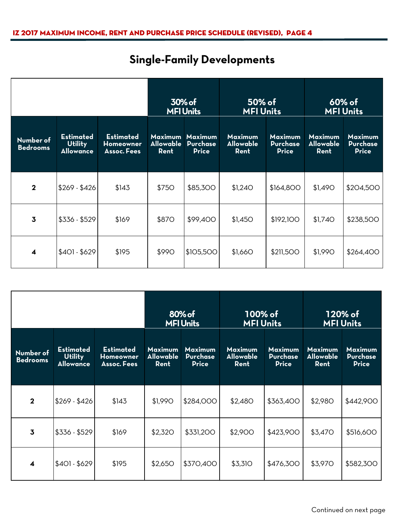# **Single-Family Developments**

|                              |                                                        | 30% of<br><b>MFI Units</b>                          |                                            | 50% of<br><b>MFI Units</b>                        |                                     | $60\%$ of<br><b>MFI Units</b>                     |                                            |                                                   |
|------------------------------|--------------------------------------------------------|-----------------------------------------------------|--------------------------------------------|---------------------------------------------------|-------------------------------------|---------------------------------------------------|--------------------------------------------|---------------------------------------------------|
| Number of<br><b>Bedrooms</b> | <b>Estimated</b><br><b>Utility</b><br><b>Allowance</b> | <b>Estimated</b><br>Homeowner<br><b>Assoc. Fees</b> | <b>Maximum</b><br><b>Allowable</b><br>Rent | <b>Maximum</b><br><b>Purchase</b><br><b>Price</b> | <b>Maximum</b><br>Allowable<br>Rent | <b>Maximum</b><br><b>Purchase</b><br><b>Price</b> | <b>Maximum</b><br><b>Allowable</b><br>Rent | <b>Maximum</b><br><b>Purchase</b><br><b>Price</b> |
| $\mathbf{2}$                 | $$269 - $426$                                          | \$143                                               | \$750                                      | \$85,300                                          | \$1,240                             | \$164,800                                         | \$1,490                                    | \$204,500                                         |
| $\overline{\mathbf{3}}$      | $$336 - $529$                                          | \$169                                               | \$870                                      | \$99,400                                          | \$1,450                             | \$192,100                                         | \$1,740                                    | \$238,500                                         |
| $\overline{\mathbf{4}}$      | $$401 - $629$                                          | \$195                                               | \$990                                      | \$105,500                                         | \$1,660                             | \$211,500                                         | \$1,990                                    | \$264,400                                         |

|                              |                                                        | 80% of<br><b>MFI Units</b>                          |                                     | 100% of<br><b>MFI Units</b>                       |                                            | 120% of<br><b>MFI Units</b>                       |                                            |                                                   |
|------------------------------|--------------------------------------------------------|-----------------------------------------------------|-------------------------------------|---------------------------------------------------|--------------------------------------------|---------------------------------------------------|--------------------------------------------|---------------------------------------------------|
| Number of<br><b>Bedrooms</b> | <b>Estimated</b><br><b>Utility</b><br><b>Allowance</b> | <b>Estimated</b><br>Homeowner<br><b>Assoc. Fees</b> | <b>Maximum</b><br>Allowable<br>Rent | <b>Maximum</b><br><b>Purchase</b><br><b>Price</b> | <b>Maximum</b><br><b>Allowable</b><br>Rent | <b>Maximum</b><br><b>Purchase</b><br><b>Price</b> | <b>Maximum</b><br><b>Allowable</b><br>Rent | <b>Maximum</b><br><b>Purchase</b><br><b>Price</b> |
| $\mathbf{2}$                 | $$269 - $426$                                          | \$143                                               | \$1,990                             | \$284,000                                         | \$2,480                                    | \$363,400                                         | <b>\$2,980</b>                             | \$442,900                                         |
| $\overline{\mathbf{3}}$      | \$336 - \$529                                          | \$169                                               | \$2,320                             | \$331,200                                         | \$2,900                                    | \$423,900                                         | \$3,470                                    | \$516,600                                         |
| $\overline{\mathbf{4}}$      | $$401 - $629$                                          | \$195                                               | \$2,650                             | \$370,400                                         | \$3,310                                    | \$476,300                                         | \$3,970                                    | \$582,300                                         |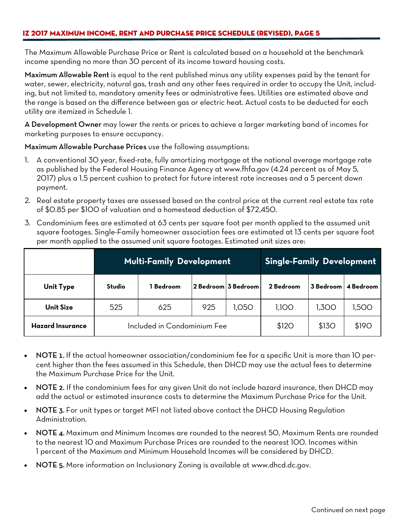The Maximum Allowable Purchase Price or Rent is calculated based on a household at the benchmark income spending no more than 30 percent of its income toward housing costs.

Maximum Allowable Rent is equal to the rent published minus any utility expenses paid by the tenant for water, sewer, electricity, natural gas, trash and any other fees required in order to occupy the Unit, including, but not limited to, mandatory amenity fees or administrative fees. Utilities are estimated above and the range is based on the difference between gas or electric heat. Actual costs to be deducted for each utility are itemized in Schedule 1.

A Development Owner may lower the rents or prices to achieve a larger marketing band of incomes for marketing purposes to ensure occupancy.

Maximum Allowable Purchase Prices use the following assumptions:

- 1. A conventional 30 year, fixed-rate, fully amortizing mortgage at the national average mortgage rate as published by the Federal Housing Finance Agency at www.fhfa.gov (4.24 percent as of May 5, 2017) plus a 1.5 percent cushion to protect for future interest rate increases and a 5 percent down payment.
- 2. Real estate property taxes are assessed based on the control price at the current real estate tax rate of \$0.85 per \$100 of valuation and a homestead deduction of \$72,450.
- 3. Condominium fees are estimated at 63 cents per square foot per month applied to the assumed unit square footages. Single-Family homeowner association fees are estimated at 13 cents per square foot per month applied to the assumed unit square footages. Estimated unit sizes are:

|                         |        | <b>Multi-Family Development</b> | Single-Family Development |           |           |           |
|-------------------------|--------|---------------------------------|---------------------------|-----------|-----------|-----------|
| <b>Unit Type</b>        | Studio | Bedroom                         | 2 Bedroom 3 Bedroom       | 2 Bedroom | 3 Bedroom | 4 Bedroom |
| <b>Unit Size</b>        | 525    | 625                             | 1,100                     | 1,300     | 1,500     |           |
| <b>Hazard Insurance</b> |        | Included in Condominium Fee     |                           | \$120     | \$13O     | \$190     |

- NOTE 1. If the actual homeowner association/condominium fee for a specific Unit is more than 10 percent higher than the fees assumed in this Schedule, then DHCD may use the actual fees to determine the Maximum Purchase Price for the Unit.
- NOTE 2. If the condominium fees for any given Unit do not include hazard insurance, then DHCD may add the actual or estimated insurance costs to determine the Maximum Purchase Price for the Unit.
- NOTE 3. For unit types or target MFI not listed above contact the DHCD Housing Regulation Administration.
- NOTE 4. Maximum and Minimum Incomes are rounded to the nearest 50, Maximum Rents are rounded to the nearest 10 and Maximum Purchase Prices are rounded to the nearest 100. Incomes within 1 percent of the Maximum and Minimum Household Incomes will be considered by DHCD.
- NOTE 5. More information on Inclusionary Zoning is available at www.dhcd.dc.gov.